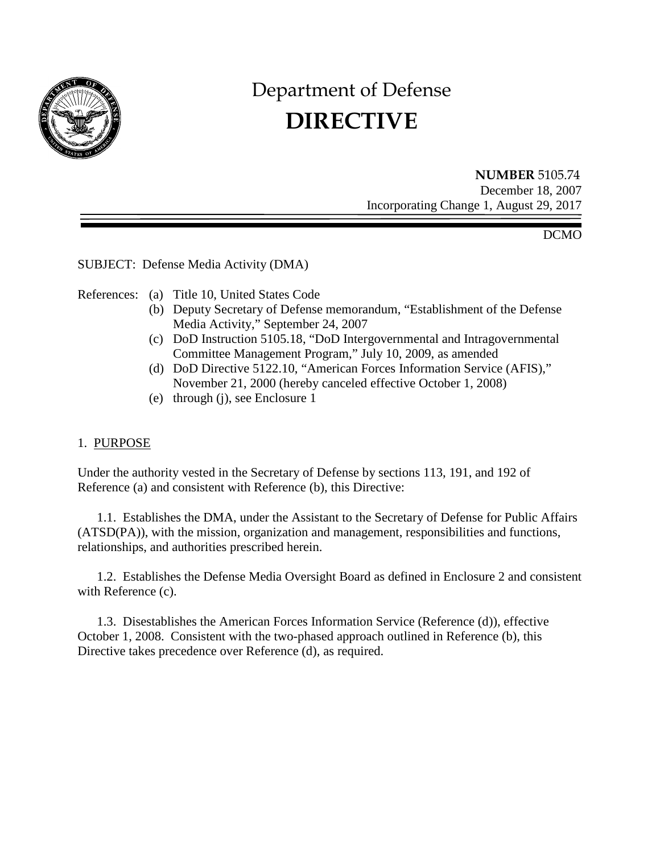

# Department of Defense **DIRECTIVE**

**NUMBER** 5105.74 December 18, 2007 Incorporating Change 1, August 29, 2017

DCMO

SUBJECT: Defense Media Activity (DMA)

References: (a) Title 10, United States Code

- (b) Deputy Secretary of Defense memorandum, "Establishment of the Defense Media Activity," September 24, 2007
- (c) DoD Instruction 5105.18, "DoD Intergovernmental and Intragovernmental Committee Management Program," July 10, 2009, as amended
- (d) DoD Directive 5122.10, "American Forces Information Service (AFIS)," November 21, 2000 (hereby canceled effective October 1, 2008)
- (e) through (j), see Enclosure 1

#### 1. PURPOSE

Under the authority vested in the Secretary of Defense by sections 113, 191, and 192 of Reference (a) and consistent with Reference (b), this Directive:

 1.1. Establishes the DMA, under the Assistant to the Secretary of Defense for Public Affairs (ATSD(PA)), with the mission, organization and management, responsibilities and functions, relationships, and authorities prescribed herein.

 1.2. Establishes the Defense Media Oversight Board as defined in Enclosure 2 and consistent with Reference (c).

 1.3. Disestablishes the American Forces Information Service (Reference (d)), effective October 1, 2008. Consistent with the two-phased approach outlined in Reference (b), this Directive takes precedence over Reference (d), as required.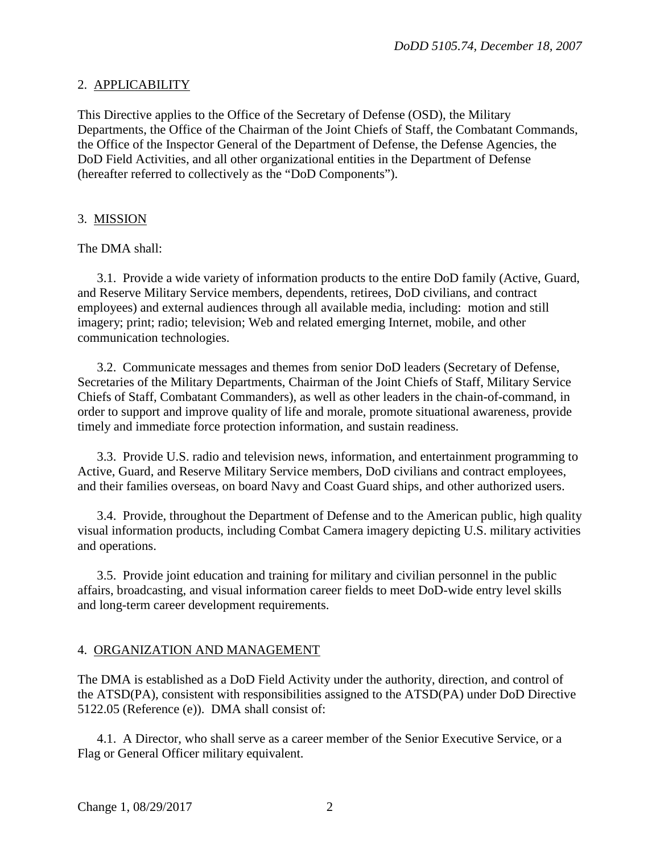## 2. APPLICABILITY

This Directive applies to the Office of the Secretary of Defense (OSD), the Military Departments, the Office of the Chairman of the Joint Chiefs of Staff, the Combatant Commands, the Office of the Inspector General of the Department of Defense, the Defense Agencies, the DoD Field Activities, and all other organizational entities in the Department of Defense (hereafter referred to collectively as the "DoD Components").

# 3. MISSION

The DMA shall:

 3.1. Provide a wide variety of information products to the entire DoD family (Active, Guard, and Reserve Military Service members, dependents, retirees, DoD civilians, and contract employees) and external audiences through all available media, including: motion and still imagery; print; radio; television; Web and related emerging Internet, mobile, and other communication technologies.

 3.2. Communicate messages and themes from senior DoD leaders (Secretary of Defense, Secretaries of the Military Departments, Chairman of the Joint Chiefs of Staff, Military Service Chiefs of Staff, Combatant Commanders), as well as other leaders in the chain-of-command, in order to support and improve quality of life and morale, promote situational awareness, provide timely and immediate force protection information, and sustain readiness.

 3.3. Provide U.S. radio and television news, information, and entertainment programming to Active, Guard, and Reserve Military Service members, DoD civilians and contract employees, and their families overseas, on board Navy and Coast Guard ships, and other authorized users.

 3.4. Provide, throughout the Department of Defense and to the American public, high quality visual information products, including Combat Camera imagery depicting U.S. military activities and operations.

 3.5. Provide joint education and training for military and civilian personnel in the public affairs, broadcasting, and visual information career fields to meet DoD-wide entry level skills and long-term career development requirements.

# 4. ORGANIZATION AND MANAGEMENT

The DMA is established as a DoD Field Activity under the authority, direction, and control of the ATSD(PA), consistent with responsibilities assigned to the ATSD(PA) under DoD Directive 5122.05 (Reference (e)). DMA shall consist of:

 4.1. A Director, who shall serve as a career member of the Senior Executive Service, or a Flag or General Officer military equivalent.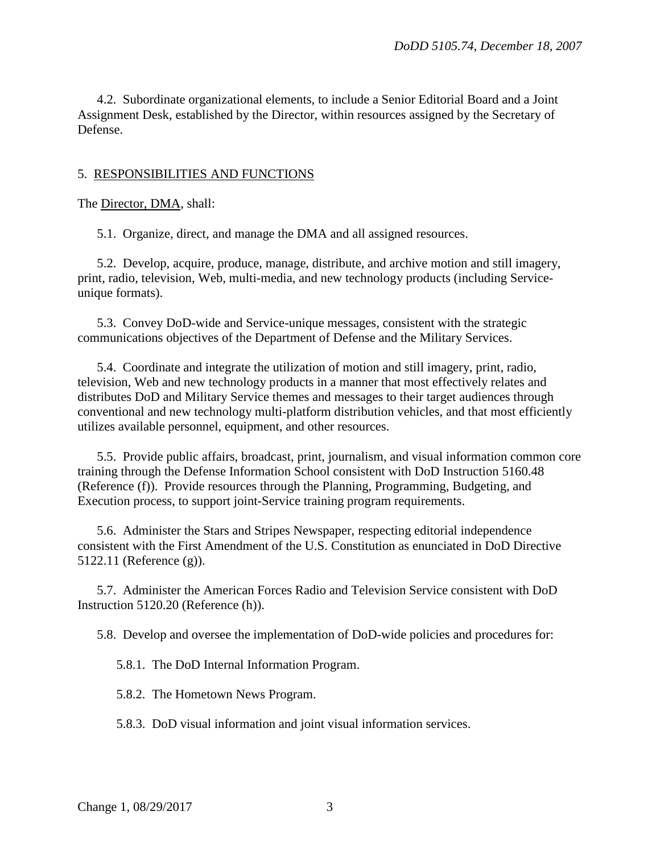4.2. Subordinate organizational elements, to include a Senior Editorial Board and a Joint Assignment Desk, established by the Director, within resources assigned by the Secretary of Defense.

#### 5. RESPONSIBILITIES AND FUNCTIONS

The Director, DMA, shall:

5.1. Organize, direct, and manage the DMA and all assigned resources.

 5.2. Develop, acquire, produce, manage, distribute, and archive motion and still imagery, print, radio, television, Web, multi-media, and new technology products (including Serviceunique formats).

 5.3. Convey DoD-wide and Service-unique messages, consistent with the strategic communications objectives of the Department of Defense and the Military Services.

 5.4. Coordinate and integrate the utilization of motion and still imagery, print, radio, television, Web and new technology products in a manner that most effectively relates and distributes DoD and Military Service themes and messages to their target audiences through conventional and new technology multi-platform distribution vehicles, and that most efficiently utilizes available personnel, equipment, and other resources.

 5.5. Provide public affairs, broadcast, print, journalism, and visual information common core training through the Defense Information School consistent with DoD Instruction 5160.48 (Reference (f)). Provide resources through the Planning, Programming, Budgeting, and Execution process, to support joint-Service training program requirements.

 5.6. Administer the Stars and Stripes Newspaper, respecting editorial independence consistent with the First Amendment of the U.S. Constitution as enunciated in DoD Directive 5122.11 (Reference (g)).

 5.7. Administer the American Forces Radio and Television Service consistent with DoD Instruction 5120.20 (Reference (h)).

5.8. Develop and oversee the implementation of DoD-wide policies and procedures for:

5.8.1. The DoD Internal Information Program.

5.8.2. The Hometown News Program.

5.8.3. DoD visual information and joint visual information services.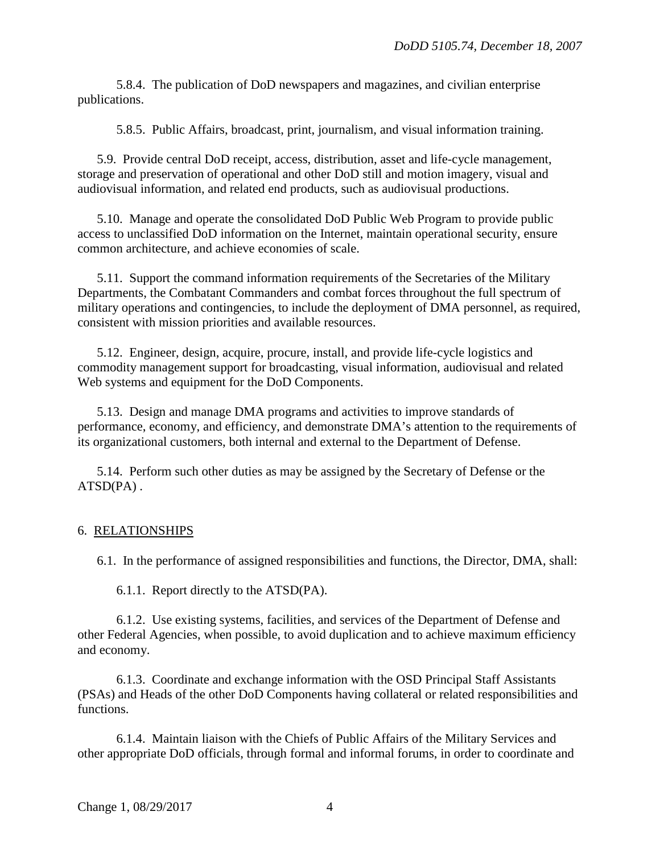5.8.4. The publication of DoD newspapers and magazines, and civilian enterprise publications.

5.8.5. Public Affairs, broadcast, print, journalism, and visual information training.

 5.9. Provide central DoD receipt, access, distribution, asset and life-cycle management, storage and preservation of operational and other DoD still and motion imagery, visual and audiovisual information, and related end products, such as audiovisual productions.

 5.10. Manage and operate the consolidated DoD Public Web Program to provide public access to unclassified DoD information on the Internet, maintain operational security, ensure common architecture, and achieve economies of scale.

 5.11. Support the command information requirements of the Secretaries of the Military Departments, the Combatant Commanders and combat forces throughout the full spectrum of military operations and contingencies, to include the deployment of DMA personnel, as required, consistent with mission priorities and available resources.

 5.12. Engineer, design, acquire, procure, install, and provide life-cycle logistics and commodity management support for broadcasting, visual information, audiovisual and related Web systems and equipment for the DoD Components.

 5.13. Design and manage DMA programs and activities to improve standards of performance, economy, and efficiency, and demonstrate DMA's attention to the requirements of its organizational customers, both internal and external to the Department of Defense.

 5.14. Perform such other duties as may be assigned by the Secretary of Defense or the ATSD(PA) .

# 6. RELATIONSHIPS

6.1. In the performance of assigned responsibilities and functions, the Director, DMA, shall:

6.1.1. Report directly to the ATSD(PA).

 6.1.2. Use existing systems, facilities, and services of the Department of Defense and other Federal Agencies, when possible, to avoid duplication and to achieve maximum efficiency and economy.

 6.1.3. Coordinate and exchange information with the OSD Principal Staff Assistants (PSAs) and Heads of the other DoD Components having collateral or related responsibilities and functions.

 6.1.4. Maintain liaison with the Chiefs of Public Affairs of the Military Services and other appropriate DoD officials, through formal and informal forums, in order to coordinate and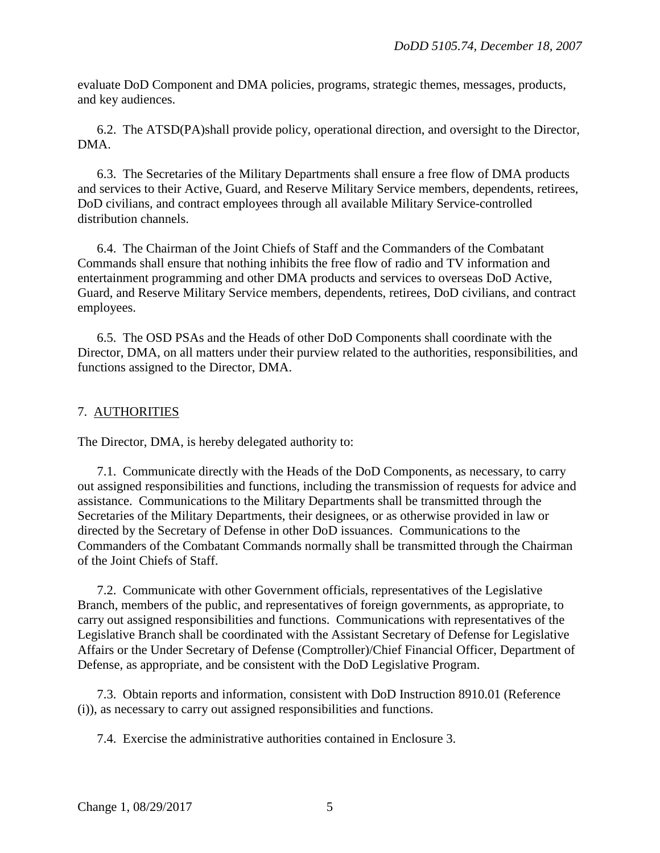evaluate DoD Component and DMA policies, programs, strategic themes, messages, products, and key audiences.

 6.2. The ATSD(PA)shall provide policy, operational direction, and oversight to the Director, DMA.

 6.3. The Secretaries of the Military Departments shall ensure a free flow of DMA products and services to their Active, Guard, and Reserve Military Service members, dependents, retirees, DoD civilians, and contract employees through all available Military Service-controlled distribution channels.

 6.4. The Chairman of the Joint Chiefs of Staff and the Commanders of the Combatant Commands shall ensure that nothing inhibits the free flow of radio and TV information and entertainment programming and other DMA products and services to overseas DoD Active, Guard, and Reserve Military Service members, dependents, retirees, DoD civilians, and contract employees.

 6.5. The OSD PSAs and the Heads of other DoD Components shall coordinate with the Director, DMA, on all matters under their purview related to the authorities, responsibilities, and functions assigned to the Director, DMA.

# 7. AUTHORITIES

The Director, DMA, is hereby delegated authority to:

 7.1. Communicate directly with the Heads of the DoD Components, as necessary, to carry out assigned responsibilities and functions, including the transmission of requests for advice and assistance. Communications to the Military Departments shall be transmitted through the Secretaries of the Military Departments, their designees, or as otherwise provided in law or directed by the Secretary of Defense in other DoD issuances. Communications to the Commanders of the Combatant Commands normally shall be transmitted through the Chairman of the Joint Chiefs of Staff.

 7.2. Communicate with other Government officials, representatives of the Legislative Branch, members of the public, and representatives of foreign governments, as appropriate, to carry out assigned responsibilities and functions. Communications with representatives of the Legislative Branch shall be coordinated with the Assistant Secretary of Defense for Legislative Affairs or the Under Secretary of Defense (Comptroller)/Chief Financial Officer, Department of Defense, as appropriate, and be consistent with the DoD Legislative Program.

 7.3. Obtain reports and information, consistent with DoD Instruction 8910.01 (Reference (i)), as necessary to carry out assigned responsibilities and functions.

7.4. Exercise the administrative authorities contained in Enclosure 3.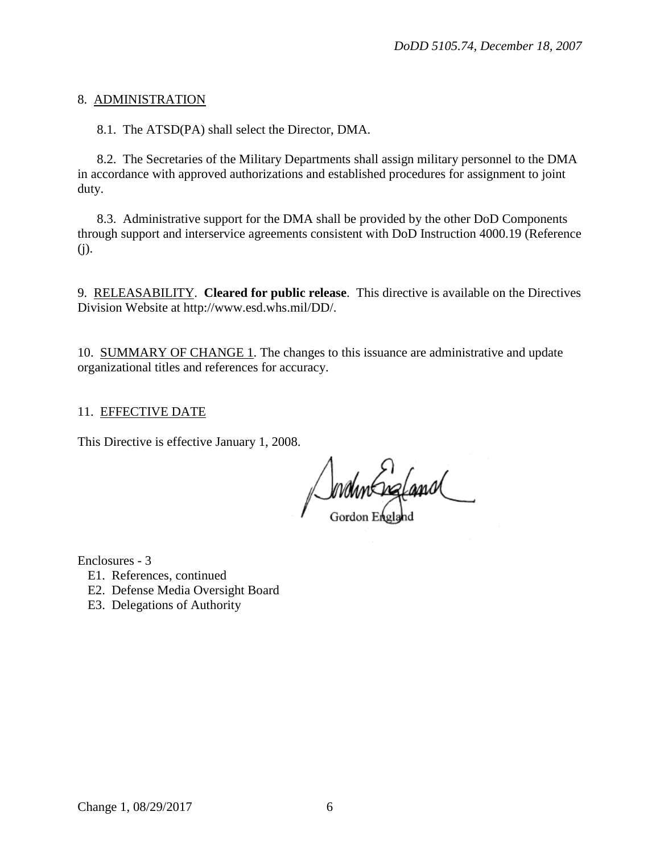## 8. ADMINISTRATION

8.1. The ATSD(PA) shall select the Director, DMA.

 8.2. The Secretaries of the Military Departments shall assign military personnel to the DMA in accordance with approved authorizations and established procedures for assignment to joint duty.

 8.3. Administrative support for the DMA shall be provided by the other DoD Components through support and interservice agreements consistent with DoD Instruction 4000.19 (Reference (j).

9. RELEASABILITY. **Cleared for public release**. This directive is available on the Directives Division Website at http://www.esd.whs.mil/DD/.

10. SUMMARY OF CHANGE 1. The changes to this issuance are administrative and update organizational titles and references for accuracy.

## 11. EFFECTIVE DATE

This Directive is effective January 1, 2008.

Jondin England

Enclosures - 3

- E1. References, continued
- E2. Defense Media Oversight Board
- E3. Delegations of Authority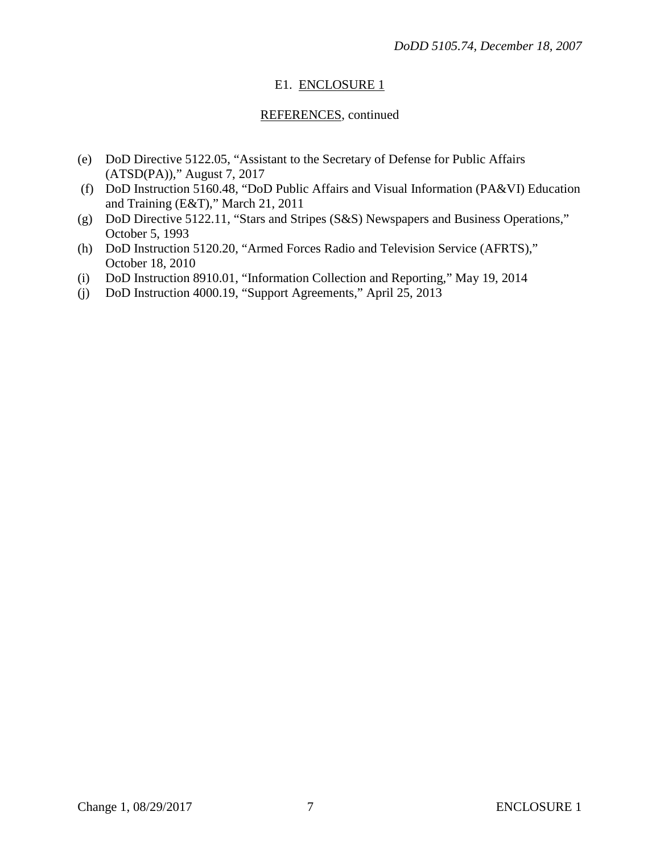# E1. ENCLOSURE 1

# REFERENCES, continued

- (e) DoD Directive 5122.05, "Assistant to the Secretary of Defense for Public Affairs (ATSD(PA))," August 7, 2017
- (f) DoD Instruction 5160.48, "DoD Public Affairs and Visual Information (PA&VI) Education and Training (E&T)," March 21, 2011
- (g) DoD Directive 5122.11, "Stars and Stripes (S&S) Newspapers and Business Operations," October 5, 1993
- (h) DoD Instruction 5120.20, "Armed Forces Radio and Television Service (AFRTS)," October 18, 2010
- (i) DoD Instruction 8910.01, "Information Collection and Reporting," May 19, 2014
- (j) DoD Instruction 4000.19, "Support Agreements," April 25, 2013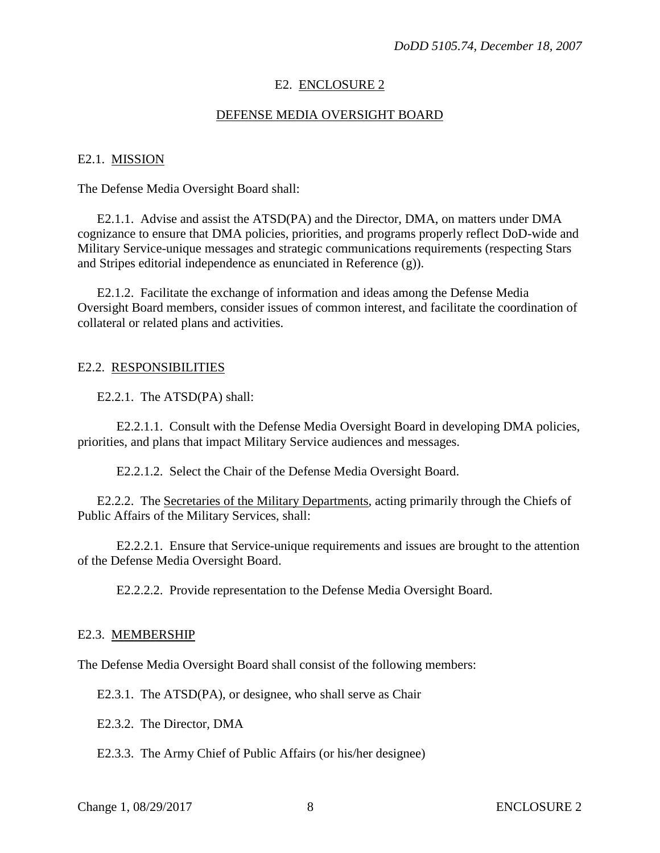## E2. ENCLOSURE 2

### DEFENSE MEDIA OVERSIGHT BOARD

#### E2.1. MISSION

The Defense Media Oversight Board shall:

 E2.1.1. Advise and assist the ATSD(PA) and the Director, DMA, on matters under DMA cognizance to ensure that DMA policies, priorities, and programs properly reflect DoD-wide and Military Service-unique messages and strategic communications requirements (respecting Stars and Stripes editorial independence as enunciated in Reference (g)).

 E2.1.2. Facilitate the exchange of information and ideas among the Defense Media Oversight Board members, consider issues of common interest, and facilitate the coordination of collateral or related plans and activities.

#### E2.2. RESPONSIBILITIES

E2.2.1. The ATSD(PA) shall:

 E2.2.1.1. Consult with the Defense Media Oversight Board in developing DMA policies, priorities, and plans that impact Military Service audiences and messages.

E2.2.1.2. Select the Chair of the Defense Media Oversight Board.

E2.2.2. The Secretaries of the Military Departments, acting primarily through the Chiefs of Public Affairs of the Military Services, shall:

 E2.2.2.1. Ensure that Service-unique requirements and issues are brought to the attention of the Defense Media Oversight Board.

E2.2.2.2. Provide representation to the Defense Media Oversight Board.

#### E2.3. MEMBERSHIP

The Defense Media Oversight Board shall consist of the following members:

E2.3.1. The ATSD(PA), or designee, who shall serve as Chair

E2.3.2. The Director, DMA

E2.3.3. The Army Chief of Public Affairs (or his/her designee)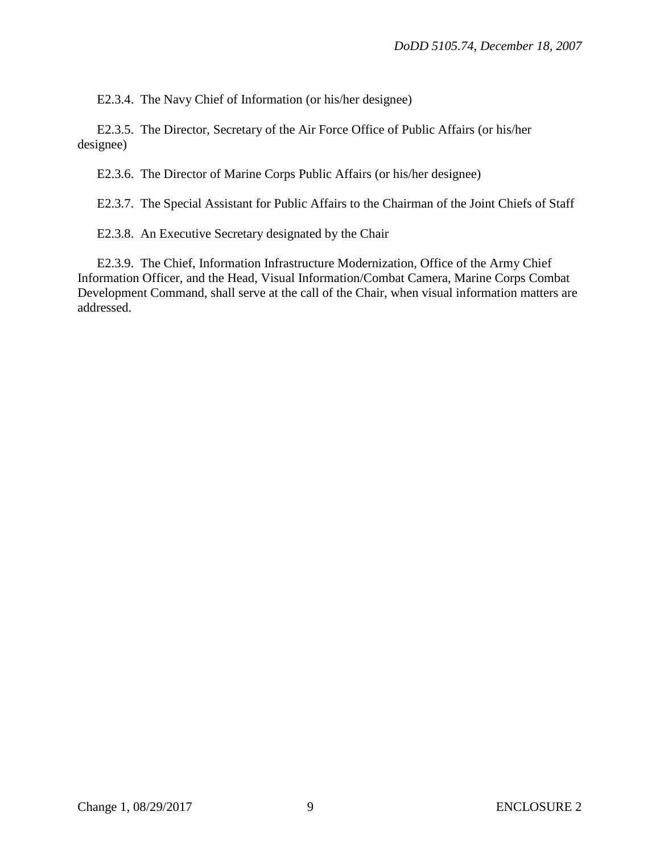E2.3.4. The Navy Chief of Information (or his/her designee)

 E2.3.5. The Director, Secretary of the Air Force Office of Public Affairs (or his/her designee)

E2.3.6. The Director of Marine Corps Public Affairs (or his/her designee)

E2.3.7. The Special Assistant for Public Affairs to the Chairman of the Joint Chiefs of Staff

E2.3.8. An Executive Secretary designated by the Chair

 E2.3.9. The Chief, Information Infrastructure Modernization, Office of the Army Chief Information Officer, and the Head, Visual Information/Combat Camera, Marine Corps Combat Development Command, shall serve at the call of the Chair, when visual information matters are addressed.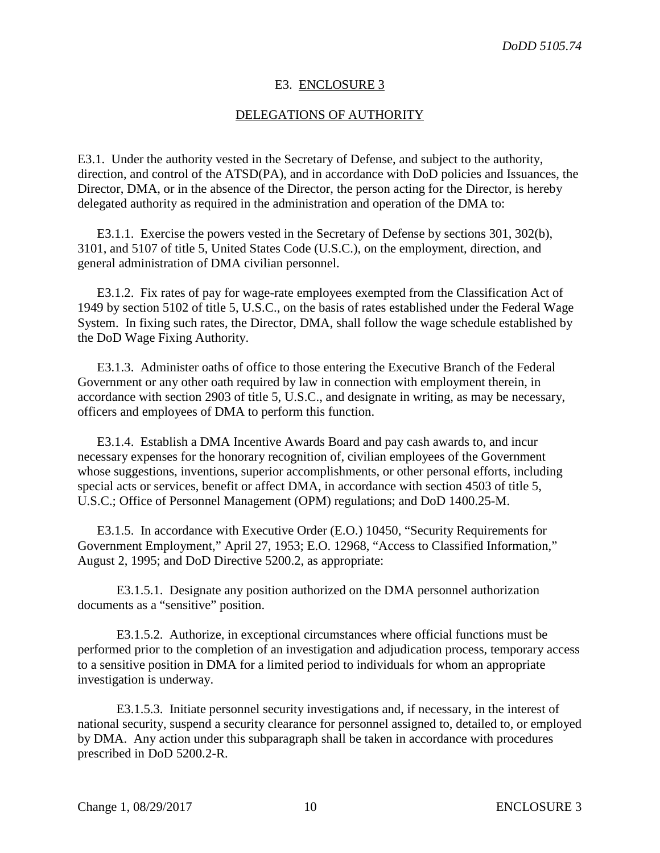#### E3. ENCLOSURE 3

#### DELEGATIONS OF AUTHORITY

E3.1. Under the authority vested in the Secretary of Defense, and subject to the authority, direction, and control of the ATSD(PA), and in accordance with DoD policies and Issuances, the Director, DMA, or in the absence of the Director, the person acting for the Director, is hereby delegated authority as required in the administration and operation of the DMA to:

E3.1.1. Exercise the powers vested in the Secretary of Defense by sections 301, 302(b), 3101, and 5107 of title 5, United States Code (U.S.C.), on the employment, direction, and general administration of DMA civilian personnel.

E3.1.2. Fix rates of pay for wage-rate employees exempted from the Classification Act of 1949 by section 5102 of title 5, U.S.C., on the basis of rates established under the Federal Wage System. In fixing such rates, the Director, DMA, shall follow the wage schedule established by the DoD Wage Fixing Authority.

E3.1.3. Administer oaths of office to those entering the Executive Branch of the Federal Government or any other oath required by law in connection with employment therein, in accordance with section 2903 of title 5, U.S.C., and designate in writing, as may be necessary, officers and employees of DMA to perform this function.

E3.1.4. Establish a DMA Incentive Awards Board and pay cash awards to, and incur necessary expenses for the honorary recognition of, civilian employees of the Government whose suggestions, inventions, superior accomplishments, or other personal efforts, including special acts or services, benefit or affect DMA, in accordance with section 4503 of title 5, U.S.C.; Office of Personnel Management (OPM) regulations; and DoD 1400.25-M.

E3.1.5. In accordance with Executive Order (E.O.) 10450, "Security Requirements for Government Employment," April 27, 1953; E.O. 12968, "Access to Classified Information," August 2, 1995; and DoD Directive 5200.2, as appropriate:

E3.1.5.1. Designate any position authorized on the DMA personnel authorization documents as a "sensitive" position.

E3.1.5.2. Authorize, in exceptional circumstances where official functions must be performed prior to the completion of an investigation and adjudication process, temporary access to a sensitive position in DMA for a limited period to individuals for whom an appropriate investigation is underway.

E3.1.5.3. Initiate personnel security investigations and, if necessary, in the interest of national security, suspend a security clearance for personnel assigned to, detailed to, or employed by DMA. Any action under this subparagraph shall be taken in accordance with procedures prescribed in DoD 5200.2-R.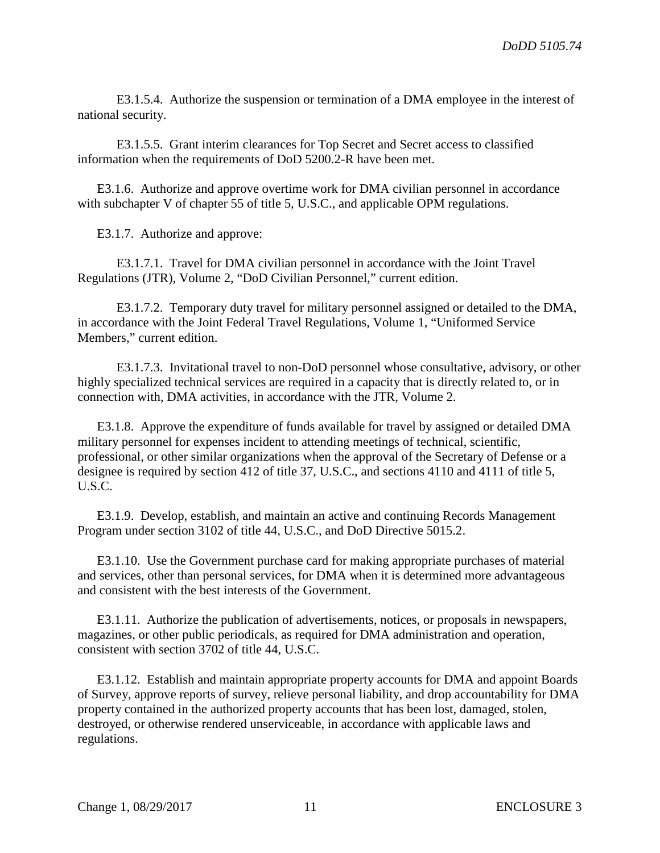E3.1.5.4. Authorize the suspension or termination of a DMA employee in the interest of national security.

E3.1.5.5. Grant interim clearances for Top Secret and Secret access to classified information when the requirements of DoD 5200.2-R have been met.

E3.1.6. Authorize and approve overtime work for DMA civilian personnel in accordance with subchapter V of chapter 55 of title 5, U.S.C., and applicable OPM regulations.

E3.1.7. Authorize and approve:

E3.1.7.1. Travel for DMA civilian personnel in accordance with the Joint Travel Regulations (JTR), Volume 2, "DoD Civilian Personnel," current edition.

E3.1.7.2. Temporary duty travel for military personnel assigned or detailed to the DMA, in accordance with the Joint Federal Travel Regulations, Volume 1, "Uniformed Service Members," current edition.

E3.1.7.3. Invitational travel to non-DoD personnel whose consultative, advisory, or other highly specialized technical services are required in a capacity that is directly related to, or in connection with, DMA activities, in accordance with the JTR, Volume 2.

E3.1.8. Approve the expenditure of funds available for travel by assigned or detailed DMA military personnel for expenses incident to attending meetings of technical, scientific, professional, or other similar organizations when the approval of the Secretary of Defense or a designee is required by section 412 of title 37, U.S.C., and sections 4110 and 4111 of title 5, U.S.C.

E3.1.9. Develop, establish, and maintain an active and continuing Records Management Program under section 3102 of title 44, U.S.C., and DoD Directive 5015.2.

E3.1.10. Use the Government purchase card for making appropriate purchases of material and services, other than personal services, for DMA when it is determined more advantageous and consistent with the best interests of the Government.

E3.1.11. Authorize the publication of advertisements, notices, or proposals in newspapers, magazines, or other public periodicals, as required for DMA administration and operation, consistent with section 3702 of title 44, U.S.C.

E3.1.12. Establish and maintain appropriate property accounts for DMA and appoint Boards of Survey, approve reports of survey, relieve personal liability, and drop accountability for DMA property contained in the authorized property accounts that has been lost, damaged, stolen, destroyed, or otherwise rendered unserviceable, in accordance with applicable laws and regulations.